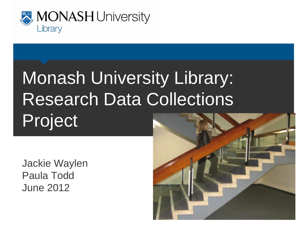

### Monash University Library: Research Data Collections Project

Jackie Waylen Paula Todd June 2012

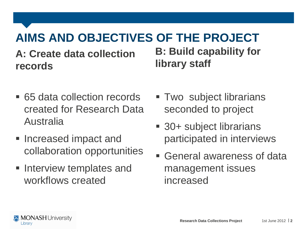#### **AIMS AND OBJECTIVES OF THE PROJECT**

**A: Create data collection records** 

**B: Build capability for library staff**

- 65 data collection records created for Research Data Australia
- **Increased impact and** collaboration opportunities
- **Interview templates and** workflows created
- Two subject librarians seconded to project
- 30+ subject librarians participated in interviews
- General awareness of data management issues increased

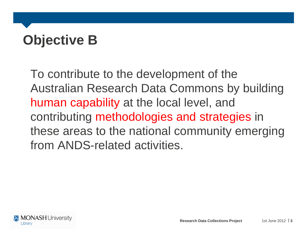# **Objective B**

To contribute to the development of the Australian Research Data Commons by building human capability at the local level, and contributing methodologies and strategies in these areas to the national community emerging from ANDS-related activities.

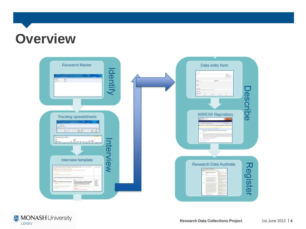### **Overview**



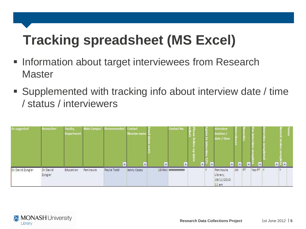# **Tracking spreadsheet (MS Excel)**

- **Information about target interviewees from Research Master**
- Supplemented with tracking info about interview date / time / status / interviewers



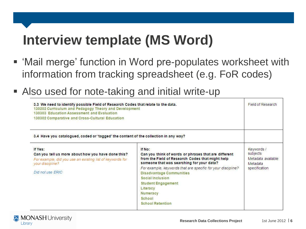# **Interview template (MS Word)**

- 'Mail merge' function in Word pre-populates worksheet with information from tracking spreadsheet (e.g. FoR codes)
- Also used for note-taking and initial write-up

| 3.3 We need to identify possible Field of Research Codes that relate to the data.<br>130202 Curriculum and Pedagogy Theory and Development<br>130303 Education Assessment and Evaluation<br>130302 Comparative and Cross-Cultural Education                |                                                                                                                                                                                                                                                                                                                                                                                  | <b>Field of Research</b>                                                  |
|------------------------------------------------------------------------------------------------------------------------------------------------------------------------------------------------------------------------------------------------------------|----------------------------------------------------------------------------------------------------------------------------------------------------------------------------------------------------------------------------------------------------------------------------------------------------------------------------------------------------------------------------------|---------------------------------------------------------------------------|
| 3.4 Have you catalogued, coded or 'tagged' the content of the collection in any way?<br>If Yes:<br>Can you tell us more about how you have done this?<br>For example, did you use an existing list of keywords for<br>your discipline?<br>Did not use ERIC | If No:<br>Can you think of words or phrases that are different<br>from the Field of Research Codes that might help<br>someone that was searching for your data?<br>For example, keywords that are specific for your discipline?<br><b>Disadvantage Communities</b><br>Social Inclusion<br><b>Student Engagement</b><br>Literacy<br>Numeracy<br>School<br><b>School Retention</b> | Keywords /<br>subjects<br>Metadata available<br>Metadata<br>specification |

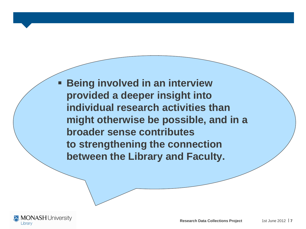**Being involved in an interview provided a deeper insight into individual research activities than might otherwise be possible, and in a broader sense contributes to strengthening the connection between the Library and Faculty.**

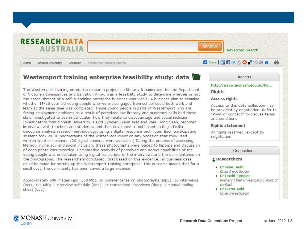**RESEARCH DATA SEARCH AUSTRALIA Advanced Search Bare <b>R** M M **O** M S M Home. Monash University Collection Westernport training enterpri...

#### Westernport training enterprise feasibility study: data

The Westernport training enterprise research project on literacy & numeracy, for the Department of Victorian Communities and Salvation Army, was a feasibility study to determine whether or not the establishment of a self-sustaining enterprise business was viable. A business plan to examine whether 15-16 year old young people who were disengaged from school could both work and learn at the same time was completed. Those young people in parts of Westernport who are facing employment problems as a result of perceived low literacy and numeracy skills had these skills investigated to see in particular, how they relate to disadvantage and social inclusion. Investigators from Monash University, David Zyngier, Glenn Auld and Wee Tiong Seah, recorded interviews with teachers and students, and then developed a tool based on Regio Emilia discourse analysis research methodology, using a digital response technique. Each participating student took 20-30 photographs of the written document on any occasion that they used written word or numbers. (20 digital cameras were available.) During the process of assessing literacy, numeracy and social inclusion, these photographs were loaded to laptops and discussion of each photo was recorded. Comparative analysis of perceived and actual capabilities of the young people was undertaken using digital transcripts of the interviews and the commentaries on the photographs. The researchers concluded, that based on this evidence, no business case could be made for setting up the Westernport training enterprise. This outcome meant that for a small cost, the community has been saved a large expense.

Approximately 500 images (jpg; 300 Mb); 30 commentaries on photographs (mp3); 36 interviews (mp3; 144 Mb); 1 interview schedule (doc); 36 transcribed interviews (doc); 1 manual coding sheet (doc).

#### **Access**

http://arrow.monash.edu.au/hd...

#### **Rights**

#### **Access rights**

Access to this data collection may be provided by negotiation. Refer to "Point of contact" to discuss terms and conditions.

#### **Rights statement**

All rights reserved, except by negotiation.

#### Connections

#### & Researchers

- Dr Wee Seah Chief Investigator
- Dr David Zyngier Primary Chief Investigator; Point of contact
- Dr Glenn Auld Chief Investigator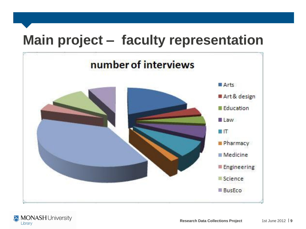### **Main project – faculty representation**



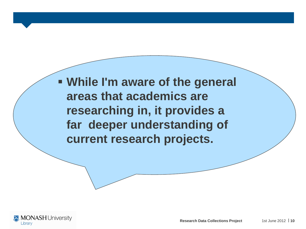**While I'm aware of the general areas that academics are researching in, it provides a far deeper understanding of current research projects.**

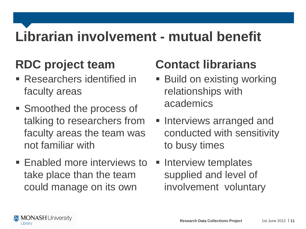# **Librarian involvement - mutual benefit**

#### **RDC project team**

- Researchers identified in faculty areas
- **Smoothed the process of** talking to researchers from faculty areas the team was not familiar with
- **Enabled more interviews to** take place than the team could manage on its own

#### **Contact librarians**

- Build on existing working relationships with academics
- **Interviews arranged and** conducted with sensitivity to busy times
- **Interview templates** supplied and level of involvement voluntary

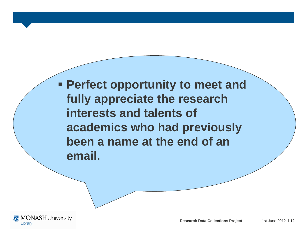**Perfect opportunity to meet and fully appreciate the research interests and talents of academics who had previously been a name at the end of an email.**

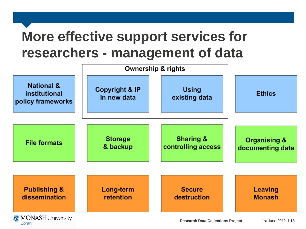### **More effective support services for researchers - management of data**

Library



**Research Data Collections Project** 1st June 2012 13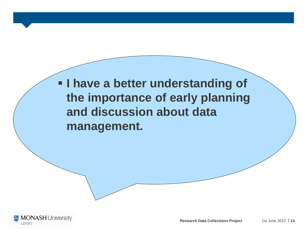**I have a better understanding of the importance of early planning and discussion about data management.**

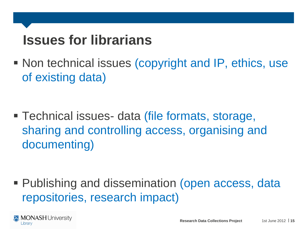### **Issues for librarians**

■ Non technical issues (copyright and IP, ethics, use of existing data)

 Technical issues- data (file formats, storage, sharing and controlling access, organising and documenting)

■ Publishing and dissemination (open access, data repositories, research impact)

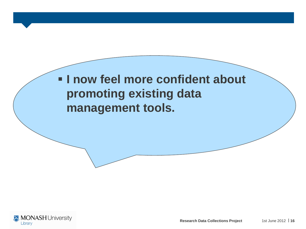#### **I now feel more confident about promoting existing data management tools.**

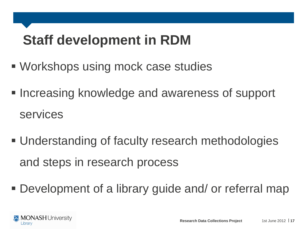### **Staff development in RDM**

- Workshops using mock case studies
- **Increasing knowledge and awareness of support** services
- Understanding of faculty research methodologies and steps in research process
- Development of a library guide and/ or referral map

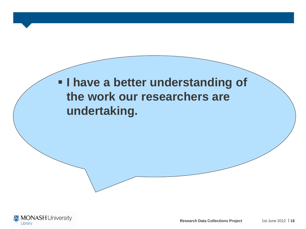#### **I have a better understanding of the work our researchers are undertaking.**

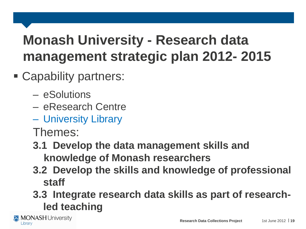# **Monash University - Research data management strategic plan 2012- 2015**

- Capability partners:
	- eSolutions
	- eResearch Centre
	- University Library

Themes:

- **3.1 Develop the data management skills and knowledge of Monash researchers**
- **3.2 Develop the skills and knowledge of professional staff**
- **3.3 Integrate research data skills as part of researchled teaching**

**MONASH University** Library